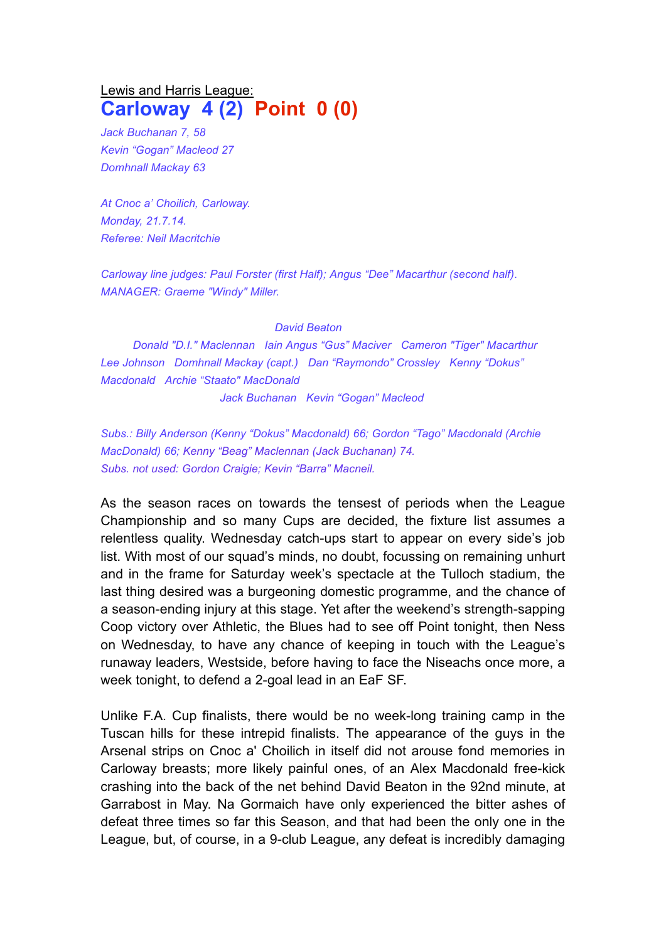## Lewis and Harris League: **Carloway 4 (2) Point 0 (0)**

*Jack Buchanan 7, 58 Kevin "Gogan" Macleod 27 Domhnall Mackay 63*

*At Cnoc a' Choilich, Carloway. Monday, 21.7.14. Referee: Neil Macritchie*

*Carloway line judges: Paul Forster (first Half); Angus "Dee" Macarthur (second half)*. *MANAGER: Graeme "Windy" Miller.* 

## *David Beaton*

*Donald "D.I." Maclennan Iain Angus "Gus" Maciver Cameron "Tiger" Macarthur Lee Johnson Domhnall Mackay (capt.) Dan "Raymondo" Crossley Kenny "Dokus" Macdonald Archie "Staato" MacDonald Jack Buchanan Kevin "Gogan" Macleod*

*Subs.: Billy Anderson (Kenny "Dokus" Macdonald) 66; Gordon "Tago" Macdonald (Archie MacDonald) 66; Kenny "Beag" Maclennan (Jack Buchanan) 74. Subs. not used: Gordon Craigie; Kevin "Barra" Macneil.*

As the season races on towards the tensest of periods when the League Championship and so many Cups are decided, the fixture list assumes a relentless quality. Wednesday catch-ups start to appear on every side's job list. With most of our squad's minds, no doubt, focussing on remaining unhurt and in the frame for Saturday week's spectacle at the Tulloch stadium, the last thing desired was a burgeoning domestic programme, and the chance of a season-ending injury at this stage. Yet after the weekend's strength-sapping Coop victory over Athletic, the Blues had to see off Point tonight, then Ness on Wednesday, to have any chance of keeping in touch with the League's runaway leaders, Westside, before having to face the Niseachs once more, a week tonight, to defend a 2-goal lead in an EaF SF.

Unlike F.A. Cup finalists, there would be no week-long training camp in the Tuscan hills for these intrepid finalists. The appearance of the guys in the Arsenal strips on Cnoc a' Choilich in itself did not arouse fond memories in Carloway breasts; more likely painful ones, of an Alex Macdonald free-kick crashing into the back of the net behind David Beaton in the 92nd minute, at Garrabost in May. Na Gormaich have only experienced the bitter ashes of defeat three times so far this Season, and that had been the only one in the League, but, of course, in a 9-club League, any defeat is incredibly damaging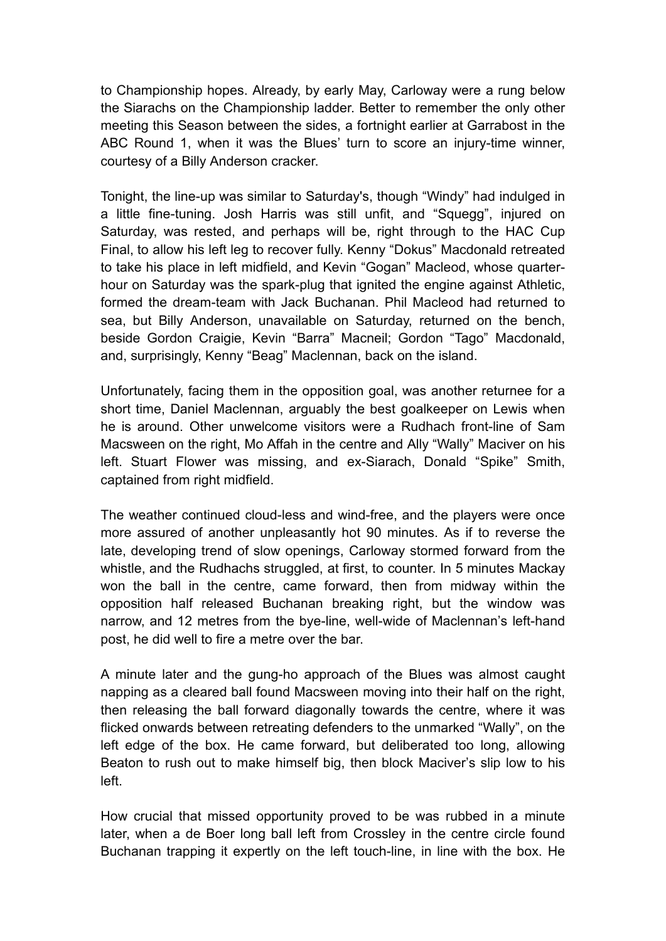to Championship hopes. Already, by early May, Carloway were a rung below the Siarachs on the Championship ladder. Better to remember the only other meeting this Season between the sides, a fortnight earlier at Garrabost in the ABC Round 1, when it was the Blues' turn to score an injury-time winner, courtesy of a Billy Anderson cracker.

Tonight, the line-up was similar to Saturday's, though "Windy" had indulged in a little fine-tuning. Josh Harris was still unfit, and "Squegg", injured on Saturday, was rested, and perhaps will be, right through to the HAC Cup Final, to allow his left leg to recover fully. Kenny "Dokus" Macdonald retreated to take his place in left midfield, and Kevin "Gogan" Macleod, whose quarterhour on Saturday was the spark-plug that ignited the engine against Athletic, formed the dream-team with Jack Buchanan. Phil Macleod had returned to sea, but Billy Anderson, unavailable on Saturday, returned on the bench, beside Gordon Craigie, Kevin "Barra" Macneil; Gordon "Tago" Macdonald, and, surprisingly, Kenny "Beag" Maclennan, back on the island.

Unfortunately, facing them in the opposition goal, was another returnee for a short time, Daniel Maclennan, arguably the best goalkeeper on Lewis when he is around. Other unwelcome visitors were a Rudhach front-line of Sam Macsween on the right, Mo Affah in the centre and Ally "Wally" Maciver on his left. Stuart Flower was missing, and ex-Siarach, Donald "Spike" Smith, captained from right midfield.

The weather continued cloud-less and wind-free, and the players were once more assured of another unpleasantly hot 90 minutes. As if to reverse the late, developing trend of slow openings, Carloway stormed forward from the whistle, and the Rudhachs struggled, at first, to counter. In 5 minutes Mackay won the ball in the centre, came forward, then from midway within the opposition half released Buchanan breaking right, but the window was narrow, and 12 metres from the bye-line, well-wide of Maclennan's left-hand post, he did well to fire a metre over the bar.

A minute later and the gung-ho approach of the Blues was almost caught napping as a cleared ball found Macsween moving into their half on the right, then releasing the ball forward diagonally towards the centre, where it was flicked onwards between retreating defenders to the unmarked "Wally", on the left edge of the box. He came forward, but deliberated too long, allowing Beaton to rush out to make himself big, then block Maciver's slip low to his left.

How crucial that missed opportunity proved to be was rubbed in a minute later, when a de Boer long ball left from Crossley in the centre circle found Buchanan trapping it expertly on the left touch-line, in line with the box. He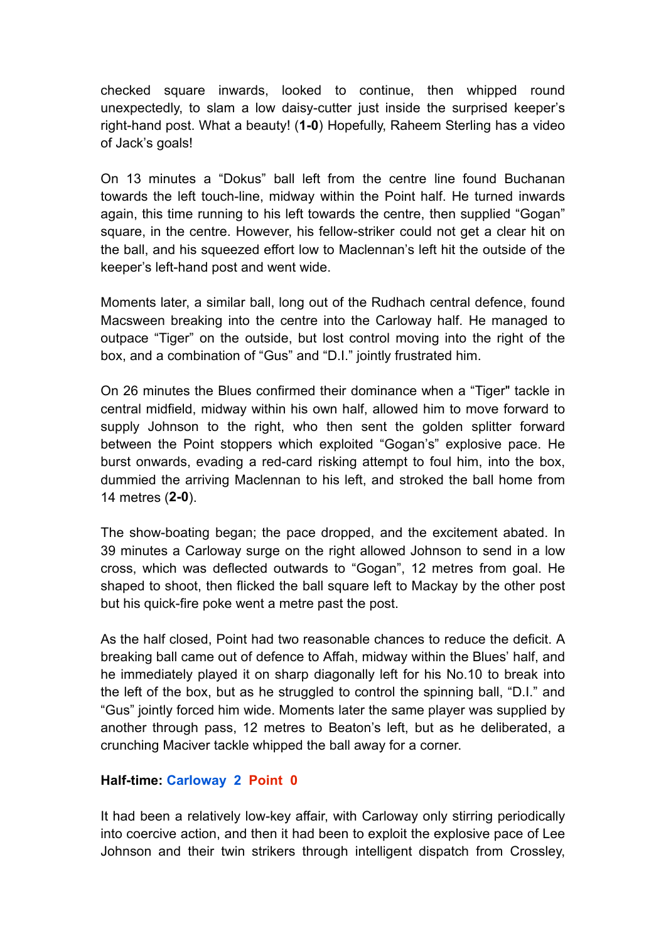checked square inwards, looked to continue, then whipped round unexpectedly, to slam a low daisy-cutter just inside the surprised keeper's right-hand post. What a beauty! (**1-0**) Hopefully, Raheem Sterling has a video of Jack's goals!

On 13 minutes a "Dokus" ball left from the centre line found Buchanan towards the left touch-line, midway within the Point half. He turned inwards again, this time running to his left towards the centre, then supplied "Gogan" square, in the centre. However, his fellow-striker could not get a clear hit on the ball, and his squeezed effort low to Maclennan's left hit the outside of the keeper's left-hand post and went wide.

Moments later, a similar ball, long out of the Rudhach central defence, found Macsween breaking into the centre into the Carloway half. He managed to outpace "Tiger" on the outside, but lost control moving into the right of the box, and a combination of "Gus" and "D.I." jointly frustrated him.

On 26 minutes the Blues confirmed their dominance when a "Tiger" tackle in central midfield, midway within his own half, allowed him to move forward to supply Johnson to the right, who then sent the golden splitter forward between the Point stoppers which exploited "Gogan's" explosive pace. He burst onwards, evading a red-card risking attempt to foul him, into the box, dummied the arriving Maclennan to his left, and stroked the ball home from 14 metres (**2-0**).

The show-boating began; the pace dropped, and the excitement abated. In 39 minutes a Carloway surge on the right allowed Johnson to send in a low cross, which was deflected outwards to "Gogan", 12 metres from goal. He shaped to shoot, then flicked the ball square left to Mackay by the other post but his quick-fire poke went a metre past the post.

As the half closed, Point had two reasonable chances to reduce the deficit. A breaking ball came out of defence to Affah, midway within the Blues' half, and he immediately played it on sharp diagonally left for his No.10 to break into the left of the box, but as he struggled to control the spinning ball, "D.I." and "Gus" jointly forced him wide. Moments later the same player was supplied by another through pass, 12 metres to Beaton's left, but as he deliberated, a crunching Maciver tackle whipped the ball away for a corner.

## **Half-time: Carloway 2 Point 0**

It had been a relatively low-key affair, with Carloway only stirring periodically into coercive action, and then it had been to exploit the explosive pace of Lee Johnson and their twin strikers through intelligent dispatch from Crossley,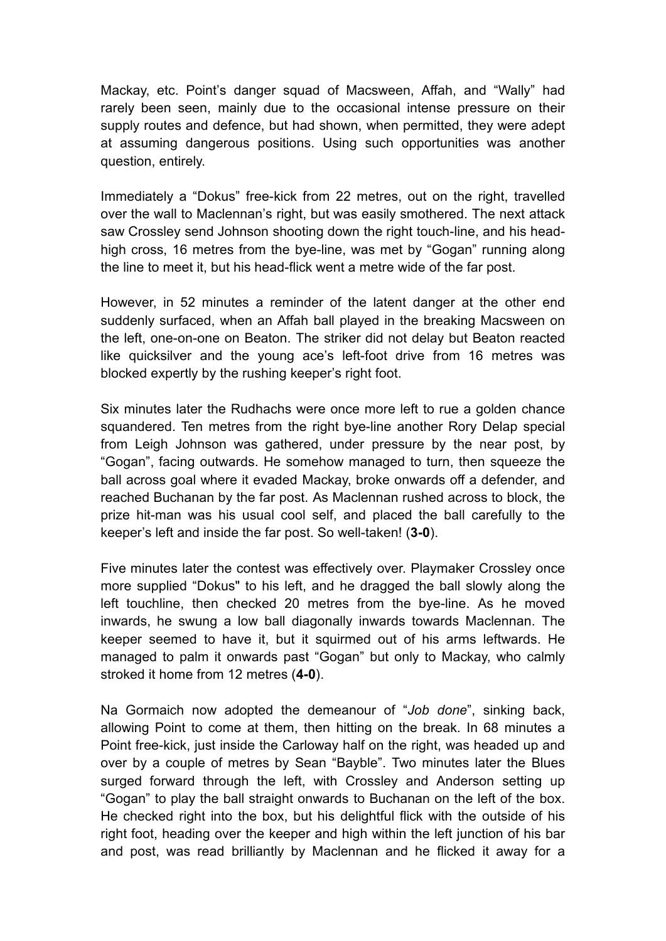Mackay, etc. Point's danger squad of Macsween, Affah, and "Wally" had rarely been seen, mainly due to the occasional intense pressure on their supply routes and defence, but had shown, when permitted, they were adept at assuming dangerous positions. Using such opportunities was another question, entirely.

Immediately a "Dokus" free-kick from 22 metres, out on the right, travelled over the wall to Maclennan's right, but was easily smothered. The next attack saw Crossley send Johnson shooting down the right touch-line, and his headhigh cross, 16 metres from the bye-line, was met by "Gogan" running along the line to meet it, but his head-flick went a metre wide of the far post.

However, in 52 minutes a reminder of the latent danger at the other end suddenly surfaced, when an Affah ball played in the breaking Macsween on the left, one-on-one on Beaton. The striker did not delay but Beaton reacted like quicksilver and the young ace's left-foot drive from 16 metres was blocked expertly by the rushing keeper's right foot.

Six minutes later the Rudhachs were once more left to rue a golden chance squandered. Ten metres from the right bye-line another Rory Delap special from Leigh Johnson was gathered, under pressure by the near post, by "Gogan", facing outwards. He somehow managed to turn, then squeeze the ball across goal where it evaded Mackay, broke onwards off a defender, and reached Buchanan by the far post. As Maclennan rushed across to block, the prize hit-man was his usual cool self, and placed the ball carefully to the keeper's left and inside the far post. So well-taken! (**3-0**).

Five minutes later the contest was effectively over. Playmaker Crossley once more supplied "Dokus" to his left, and he dragged the ball slowly along the left touchline, then checked 20 metres from the bye-line. As he moved inwards, he swung a low ball diagonally inwards towards Maclennan. The keeper seemed to have it, but it squirmed out of his arms leftwards. He managed to palm it onwards past "Gogan" but only to Mackay, who calmly stroked it home from 12 metres (**4-0**).

Na Gormaich now adopted the demeanour of "*Job done*", sinking back, allowing Point to come at them, then hitting on the break. In 68 minutes a Point free-kick, just inside the Carloway half on the right, was headed up and over by a couple of metres by Sean "Bayble". Two minutes later the Blues surged forward through the left, with Crossley and Anderson setting up "Gogan" to play the ball straight onwards to Buchanan on the left of the box. He checked right into the box, but his delightful flick with the outside of his right foot, heading over the keeper and high within the left junction of his bar and post, was read brilliantly by Maclennan and he flicked it away for a